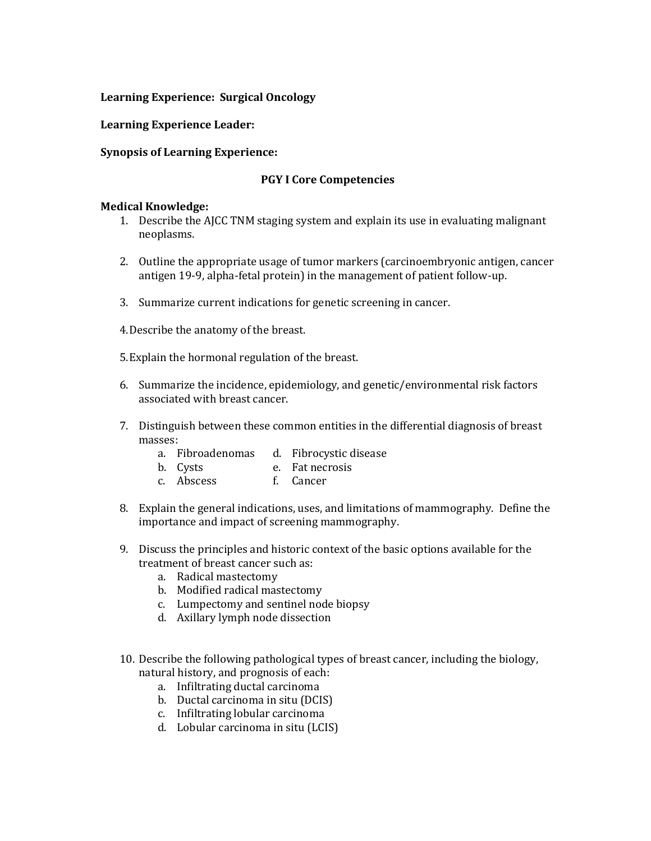## **Learning Experience: Surgical Oncology**

#### **Learning Experience Leader:**

### **Synopsis of Learning Experience:**

#### **PGY I Core Competencies**

- 1. Describe the AJCC TNM staging system and explain its use in evaluating malignant neoplasms.
- 2. Outline the appropriate usage of tumor markers (carcinoembryonic antigen, cancer antigen 19-9, alpha-fetal protein) in the management of patient follow-up.
- 3. Summarize current indications for genetic screening in cancer.
- 4.Describe the anatomy of the breast.
- 5.Explain the hormonal regulation of the breast.
- 6. Summarize the incidence, epidemiology, and genetic/environmental risk factors associated with breast cancer.
- 7. Distinguish between these common entities in the differential diagnosis of breast masses:
	- a. Fibroadenomas d. Fibrocystic disease
	- b. Cysts e. Fat necrosis
	- c. Abscess f. Cancer
- 8. Explain the general indications, uses, and limitations of mammography. Define the importance and impact of screening mammography.
- 9. Discuss the principles and historic context of the basic options available for the treatment of breast cancer such as:
	- a. Radical mastectomy
	- b. Modified radical mastectomy
	- c. Lumpectomy and sentinel node biopsy
	- d. Axillary lymph node dissection
- 10. Describe the following pathological types of breast cancer, including the biology, natural history, and prognosis of each:
	- a. Infiltrating ductal carcinoma
	- b. Ductal carcinoma in situ (DCIS)
	- c. Infiltrating lobular carcinoma
	- d. Lobular carcinoma in situ (LCIS)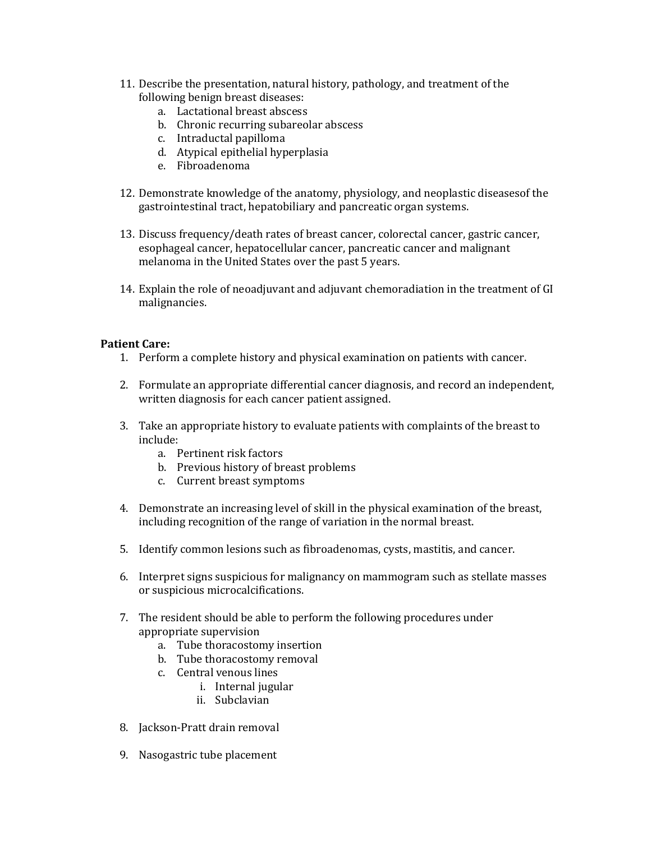- 11. Describe the presentation, natural history, pathology, and treatment of the following benign breast diseases:
	- a. Lactational breast abscess
	- b. Chronic recurring subareolar abscess
	- c. Intraductal papilloma
	- d. Atypical epithelial hyperplasia
	- e. Fibroadenoma
- 12. Demonstrate knowledge of the anatomy, physiology, and neoplastic diseasesof the gastrointestinal tract, hepatobiliary and pancreatic organ systems.
- 13. Discuss frequency/death rates of breast cancer, colorectal cancer, gastric cancer, esophageal cancer, hepatocellular cancer, pancreatic cancer and malignant melanoma in the United States over the past 5 years.
- 14. Explain the role of neoadjuvant and adjuvant chemoradiation in the treatment of GI malignancies.

- 1. Perform a complete history and physical examination on patients with cancer.
- 2. Formulate an appropriate differential cancer diagnosis, and record an independent, written diagnosis for each cancer patient assigned.
- 3. Take an appropriate history to evaluate patients with complaints of the breast to include:
	- a. Pertinent risk factors
	- b. Previous history of breast problems
	- c. Current breast symptoms
- 4. Demonstrate an increasing level of skill in the physical examination of the breast, including recognition of the range of variation in the normal breast.
- 5. Identify common lesions such as fibroadenomas, cysts, mastitis, and cancer.
- 6. Interpret signs suspicious for malignancy on mammogram such as stellate masses or suspicious microcalcifications.
- 7. The resident should be able to perform the following procedures under appropriate supervision
	- a. Tube thoracostomy insertion
	- b. Tube thoracostomy removal
	- c. Central venous lines
		- i. Internal jugular
		- ii. Subclavian
- 8. Jackson-Pratt drain removal
- 9. Nasogastric tube placement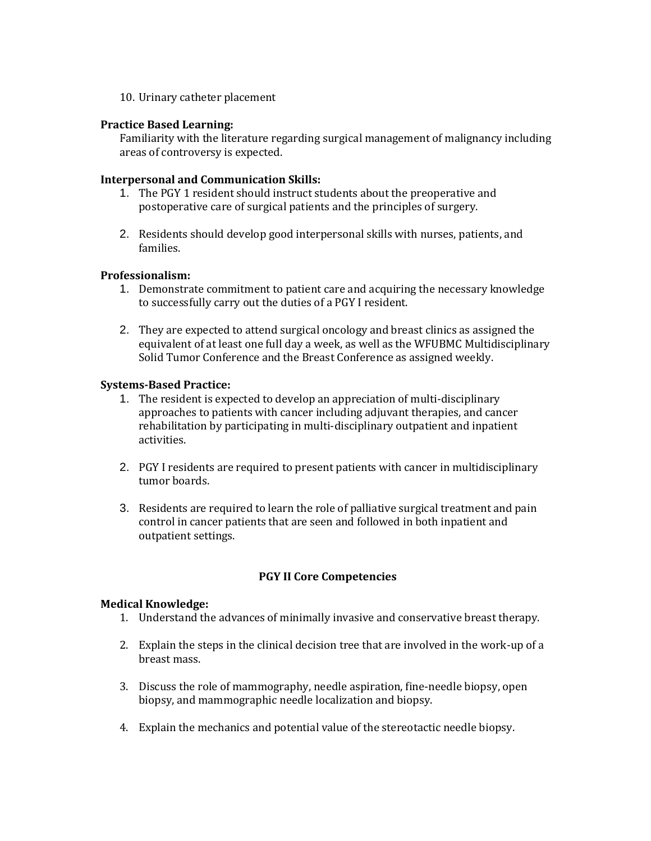10. Urinary catheter placement

### **Practice Based Learning:**

Familiarity with the literature regarding surgical management of malignancy including areas of controversy is expected.

## **Interpersonal and Communication Skills:**

- 1. The PGY 1 resident should instruct students about the preoperative and postoperative care of surgical patients and the principles of surgery.
- 2. Residents should develop good interpersonal skills with nurses, patients, and families.

## **Professionalism:**

- 1. Demonstrate commitment to patient care and acquiring the necessary knowledge to successfully carry out the duties of a PGY I resident.
- 2. They are expected to attend surgical oncology and breast clinics as assigned the equivalent of at least one full day a week, as well as the WFUBMC Multidisciplinary Solid Tumor Conference and the Breast Conference as assigned weekly.

## **Systems-Based Practice:**

- 1. The resident is expected to develop an appreciation of multi-disciplinary approaches to patients with cancer including adjuvant therapies, and cancer rehabilitation by participating in multi-disciplinary outpatient and inpatient activities.
- 2. PGY I residents are required to present patients with cancer in multidisciplinary tumor boards.
- 3. Residents are required to learn the role of palliative surgical treatment and pain control in cancer patients that are seen and followed in both inpatient and outpatient settings.

# **PGY II Core Competencies**

- 1. Understand the advances of minimally invasive and conservative breast therapy.
- 2. Explain the steps in the clinical decision tree that are involved in the work-up of a breast mass.
- 3. Discuss the role of mammography, needle aspiration, fine-needle biopsy, open biopsy, and mammographic needle localization and biopsy.
- 4. Explain the mechanics and potential value of the stereotactic needle biopsy.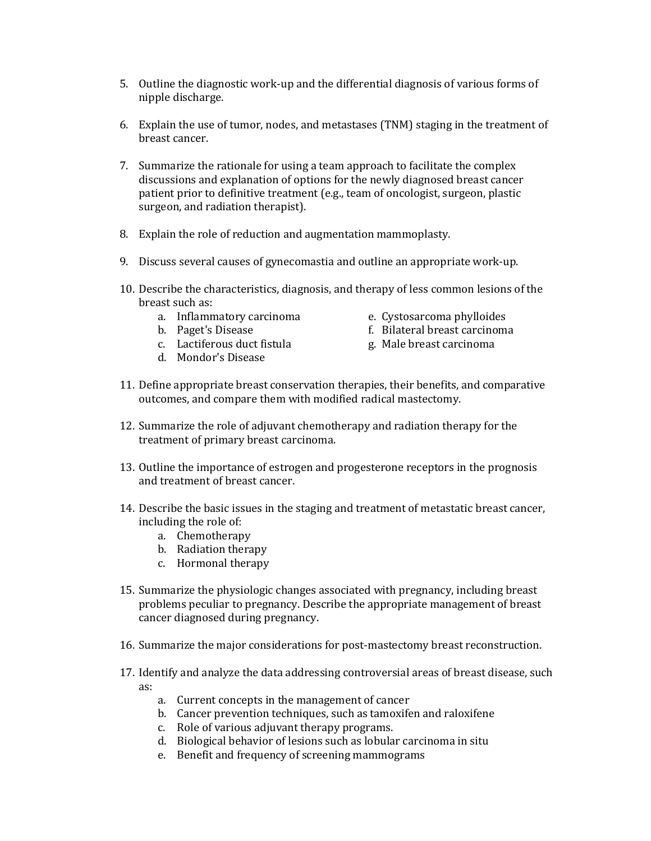- 5. Outline the diagnostic work-up and the differential diagnosis of various forms of nipple discharge.
- 6. Explain the use of tumor, nodes, and metastases (TNM) staging in the treatment of breast cancer.
- 7. Summarize the rationale for using a team approach to facilitate the complex discussions and explanation of options for the newly diagnosed breast cancer patient prior to definitive treatment (e.g., team of oncologist, surgeon, plastic surgeon, and radiation therapist).
- 8. Explain the role of reduction and augmentation mammoplasty.
- 9. Discuss several causes of gynecomastia and outline an appropriate work-up.
- 10. Describe the characteristics, diagnosis, and therapy of less common lesions of the breast such as:
	- a. Inflammatory carcinoma e. Cystosarcoma phylloides
	-
	- c. Lactiferous duct fistula g. Male breast carcinoma
	- d. Mondor's Disease
- 
- b. Paget's Disease f. Bilateral breast carcinoma
	-
- 11. Define appropriate breast conservation therapies, their benefits, and comparative outcomes, and compare them with modified radical mastectomy.
- 12. Summarize the role of adjuvant chemotherapy and radiation therapy for the treatment of primary breast carcinoma.
- 13. Outline the importance of estrogen and progesterone receptors in the prognosis and treatment of breast cancer.
- 14. Describe the basic issues in the staging and treatment of metastatic breast cancer, including the role of:
	- a. Chemotherapy
	- b. Radiation therapy
	- c. Hormonal therapy
- 15. Summarize the physiologic changes associated with pregnancy, including breast problems peculiar to pregnancy. Describe the appropriate management of breast cancer diagnosed during pregnancy.
- 16. Summarize the major considerations for post-mastectomy breast reconstruction.
- 17. Identify and analyze the data addressing controversial areas of breast disease, such as:
	- a. Current concepts in the management of cancer
	- b. Cancer prevention techniques, such as tamoxifen and raloxifene
	- c. Role of various adjuvant therapy programs.
	- d. Biological behavior of lesions such as lobular carcinoma in situ
	- e. Benefit and frequency of screening mammograms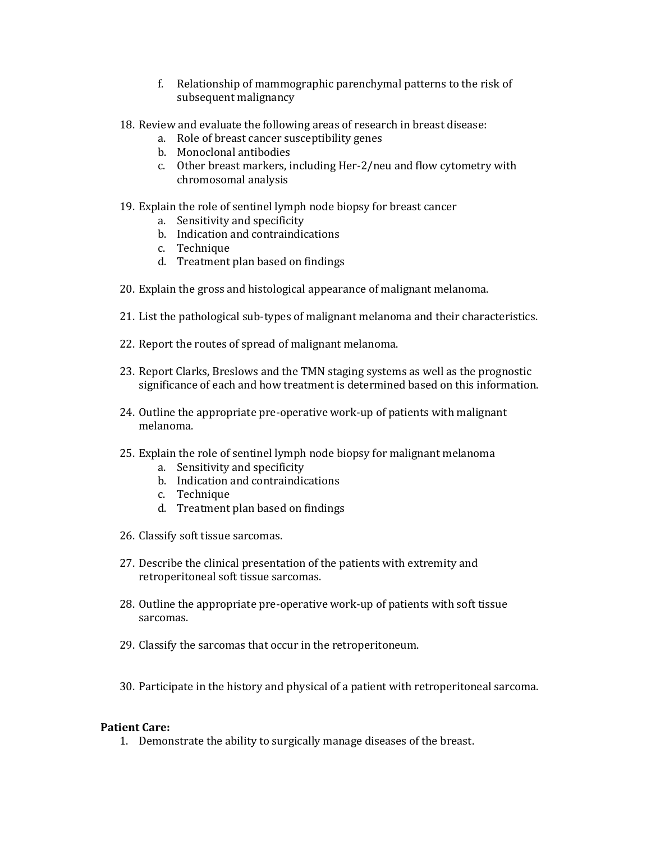- f. Relationship of mammographic parenchymal patterns to the risk of subsequent malignancy
- 18. Review and evaluate the following areas of research in breast disease:
	- a. Role of breast cancer susceptibility genes
	- b. Monoclonal antibodies
	- c. Other breast markers, including Her-2/neu and flow cytometry with chromosomal analysis
- 19. Explain the role of sentinel lymph node biopsy for breast cancer
	- a. Sensitivity and specificity
	- b. Indication and contraindications
	- c. Technique
	- d. Treatment plan based on findings
- 20. Explain the gross and histological appearance of malignant melanoma.
- 21. List the pathological sub-types of malignant melanoma and their characteristics.
- 22. Report the routes of spread of malignant melanoma.
- 23. Report Clarks, Breslows and the TMN staging systems as well as the prognostic significance of each and how treatment is determined based on this information.
- 24. Outline the appropriate pre-operative work-up of patients with malignant melanoma.
- 25. Explain the role of sentinel lymph node biopsy for malignant melanoma
	- a. Sensitivity and specificity
	- b. Indication and contraindications
	- c. Technique
	- d. Treatment plan based on findings
- 26. Classify soft tissue sarcomas.
- 27. Describe the clinical presentation of the patients with extremity and retroperitoneal soft tissue sarcomas.
- 28. Outline the appropriate pre-operative work-up of patients with soft tissue sarcomas.
- 29. Classify the sarcomas that occur in the retroperitoneum.
- 30. Participate in the history and physical of a patient with retroperitoneal sarcoma.

1. Demonstrate the ability to surgically manage diseases of the breast.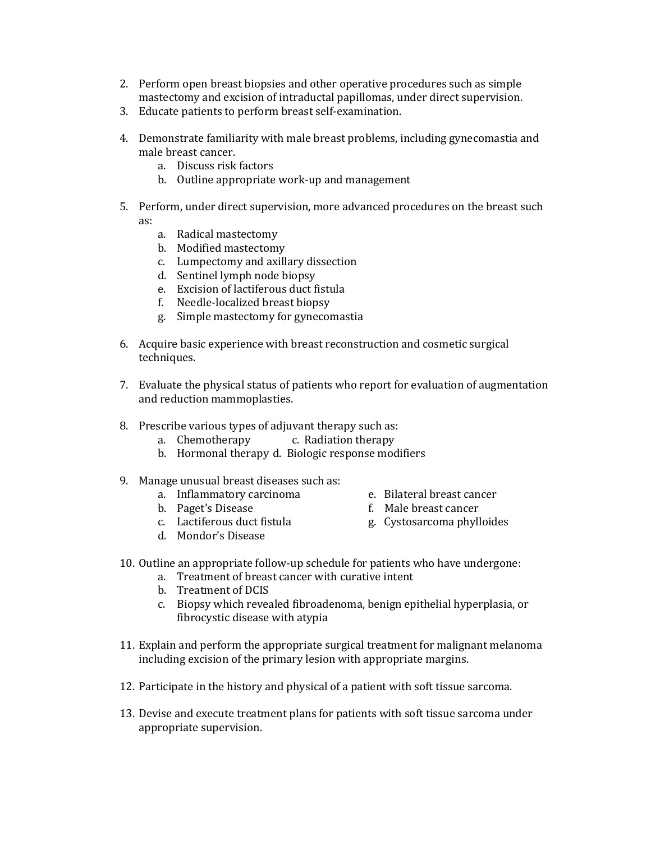- 2. Perform open breast biopsies and other operative procedures such as simple mastectomy and excision of intraductal papillomas, under direct supervision.
- 3. Educate patients to perform breast self-examination.
- 4. Demonstrate familiarity with male breast problems, including gynecomastia and male breast cancer.
	- a. Discuss risk factors
	- b. Outline appropriate work-up and management
- 5. Perform, under direct supervision, more advanced procedures on the breast such as:
	- a. Radical mastectomy
	- b. Modified mastectomy
	- c. Lumpectomy and axillary dissection
	- d. Sentinel lymph node biopsy
	- e. Excision of lactiferous duct fistula
	- f. Needle-localized breast biopsy
	- g. Simple mastectomy for gynecomastia
- 6. Acquire basic experience with breast reconstruction and cosmetic surgical techniques.
- 7. Evaluate the physical status of patients who report for evaluation of augmentation and reduction mammoplasties.
- 8. Prescribe various types of adjuvant therapy such as:
	- a. Chemotherapy c. Radiation therapy
	- b. Hormonal therapy d. Biologic response modifiers
- 9. Manage unusual breast diseases such as:
	- a. Inflammatory carcinoma e. Bilateral breast cancer
	-
	-
	- d. Mondor's Disease
- 
- b. Paget's Disease f. Male breast cancer
- c. Lactiferous duct fistula g. Cystosarcoma phylloides
- 
- 10. Outline an appropriate follow-up schedule for patients who have undergone:
	- a. Treatment of breast cancer with curative intent
	- b. Treatment of DCIS
	- c. Biopsy which revealed fibroadenoma, benign epithelial hyperplasia, or fibrocystic disease with atypia
- 11. Explain and perform the appropriate surgical treatment for malignant melanoma including excision of the primary lesion with appropriate margins.
- 12. Participate in the history and physical of a patient with soft tissue sarcoma.
- 13. Devise and execute treatment plans for patients with soft tissue sarcoma under appropriate supervision.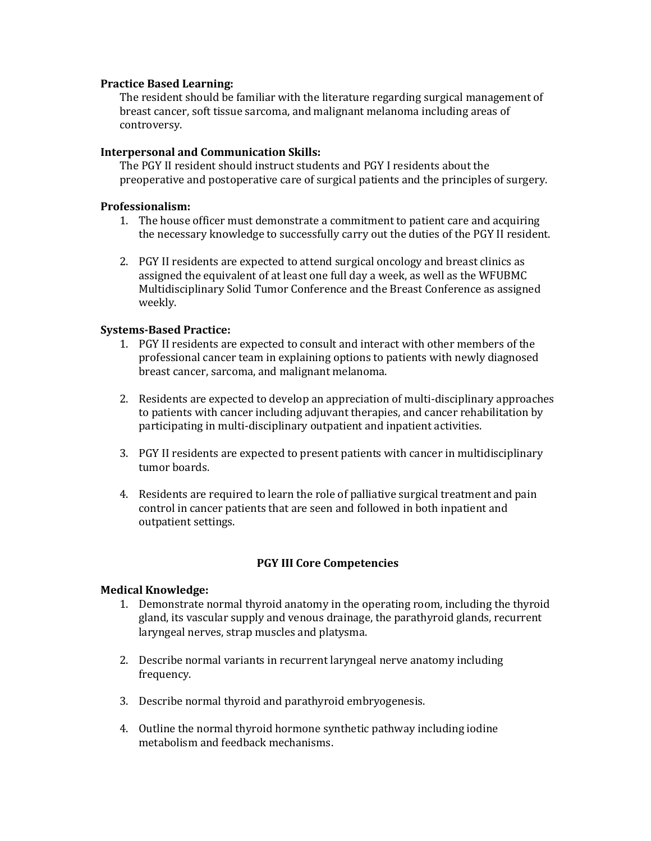### **Practice Based Learning:**

The resident should be familiar with the literature regarding surgical management of breast cancer, soft tissue sarcoma, and malignant melanoma including areas of controversy.

## **Interpersonal and Communication Skills:**

The PGY II resident should instruct students and PGY I residents about the preoperative and postoperative care of surgical patients and the principles of surgery.

### **Professionalism:**

- 1. The house officer must demonstrate a commitment to patient care and acquiring the necessary knowledge to successfully carry out the duties of the PGY II resident.
- 2. PGY II residents are expected to attend surgical oncology and breast clinics as assigned the equivalent of at least one full day a week, as well as the WFUBMC Multidisciplinary Solid Tumor Conference and the Breast Conference as assigned weekly.

## **Systems-Based Practice:**

- 1. PGY II residents are expected to consult and interact with other members of the professional cancer team in explaining options to patients with newly diagnosed breast cancer, sarcoma, and malignant melanoma.
- 2. Residents are expected to develop an appreciation of multi-disciplinary approaches to patients with cancer including adjuvant therapies, and cancer rehabilitation by participating in multi-disciplinary outpatient and inpatient activities.
- 3. PGY II residents are expected to present patients with cancer in multidisciplinary tumor boards.
- 4. Residents are required to learn the role of palliative surgical treatment and pain control in cancer patients that are seen and followed in both inpatient and outpatient settings.

# **PGY III Core Competencies**

- 1. Demonstrate normal thyroid anatomy in the operating room, including the thyroid gland, its vascular supply and venous drainage, the parathyroid glands, recurrent laryngeal nerves, strap muscles and platysma.
- 2. Describe normal variants in recurrent laryngeal nerve anatomy including frequency.
- 3. Describe normal thyroid and parathyroid embryogenesis.
- 4. Outline the normal thyroid hormone synthetic pathway including iodine metabolism and feedback mechanisms.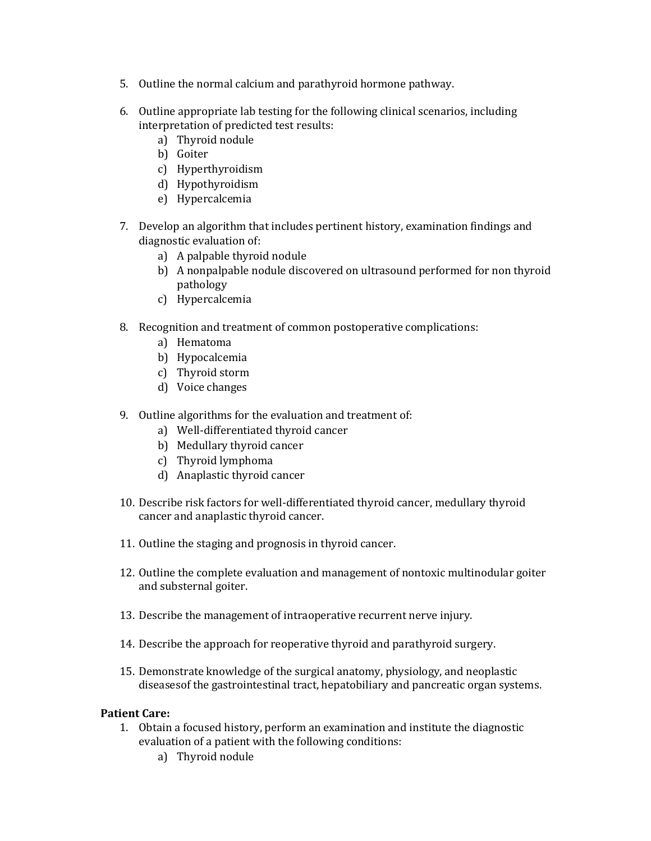- 5. Outline the normal calcium and parathyroid hormone pathway.
- 6. Outline appropriate lab testing for the following clinical scenarios, including interpretation of predicted test results:
	- a) Thyroid nodule
	- b) Goiter
	- c) Hyperthyroidism
	- d) Hypothyroidism
	- e) Hypercalcemia
- 7. Develop an algorithm that includes pertinent history, examination findings and diagnostic evaluation of:
	- a) A palpable thyroid nodule
	- b) A nonpalpable nodule discovered on ultrasound performed for non thyroid pathology
	- c) Hypercalcemia
- 8. Recognition and treatment of common postoperative complications:
	- a) Hematoma
	- b) Hypocalcemia
	- c) Thyroid storm
	- d) Voice changes
- 9. Outline algorithms for the evaluation and treatment of:
	- a) Well-differentiated thyroid cancer
	- b) Medullary thyroid cancer
	- c) Thyroid lymphoma
	- d) Anaplastic thyroid cancer
- 10. Describe risk factors for well-differentiated thyroid cancer, medullary thyroid cancer and anaplastic thyroid cancer.
- 11. Outline the staging and prognosis in thyroid cancer.
- 12. Outline the complete evaluation and management of nontoxic multinodular goiter and substernal goiter.
- 13. Describe the management of intraoperative recurrent nerve injury.
- 14. Describe the approach for reoperative thyroid and parathyroid surgery.
- 15. Demonstrate knowledge of the surgical anatomy, physiology, and neoplastic diseasesof the gastrointestinal tract, hepatobiliary and pancreatic organ systems.

- 1. Obtain a focused history, perform an examination and institute the diagnostic evaluation of a patient with the following conditions:
	- a) Thyroid nodule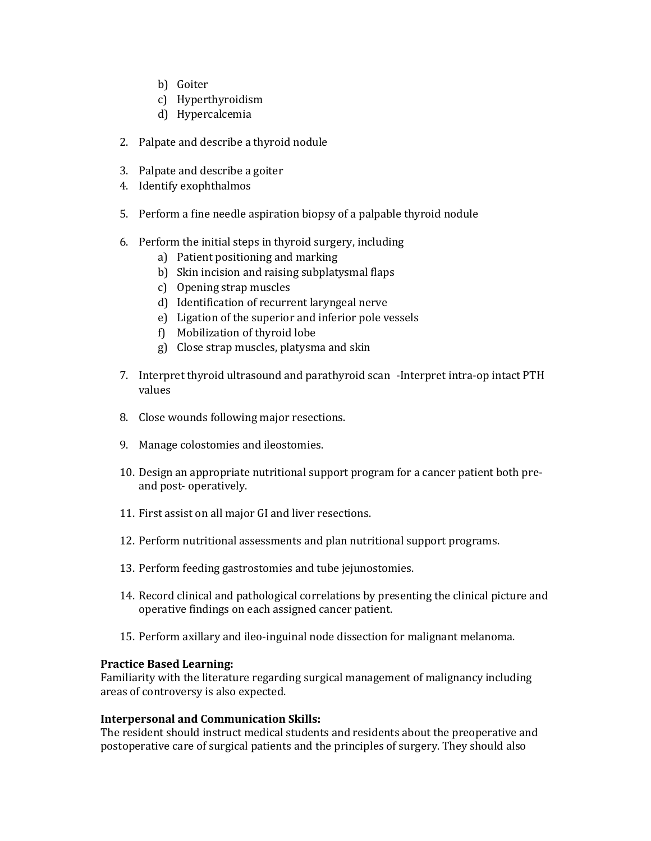- b) Goiter
- c) Hyperthyroidism
- d) Hypercalcemia
- 2. Palpate and describe a thyroid nodule
- 3. Palpate and describe a goiter
- 4. Identify exophthalmos
- 5. Perform a fine needle aspiration biopsy of a palpable thyroid nodule
- 6. Perform the initial steps in thyroid surgery, including
	- a) Patient positioning and marking
	- b) Skin incision and raising subplatysmal flaps
	- c) Opening strap muscles
	- d) Identification of recurrent laryngeal nerve
	- e) Ligation of the superior and inferior pole vessels
	- f) Mobilization of thyroid lobe
	- g) Close strap muscles, platysma and skin
- 7. Interpret thyroid ultrasound and parathyroid scan -Interpret intra-op intact PTH values
- 8. Close wounds following major resections.
- 9. Manage colostomies and ileostomies.
- 10. Design an appropriate nutritional support program for a cancer patient both preand post- operatively.
- 11. First assist on all major GI and liver resections.
- 12. Perform nutritional assessments and plan nutritional support programs.
- 13. Perform feeding gastrostomies and tube jejunostomies.
- 14. Record clinical and pathological correlations by presenting the clinical picture and operative findings on each assigned cancer patient.
- 15. Perform axillary and ileo-inguinal node dissection for malignant melanoma.

### **Practice Based Learning:**

Familiarity with the literature regarding surgical management of malignancy including areas of controversy is also expected.

# **Interpersonal and Communication Skills:**

The resident should instruct medical students and residents about the preoperative and postoperative care of surgical patients and the principles of surgery. They should also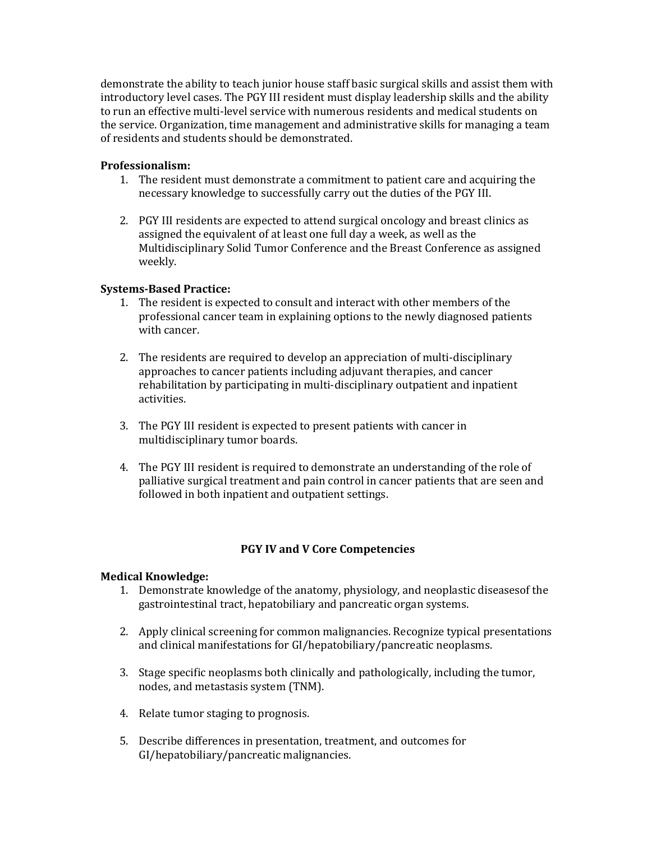demonstrate the ability to teach junior house staff basic surgical skills and assist them with introductory level cases. The PGY III resident must display leadership skills and the ability to run an effective multi-level service with numerous residents and medical students on the service. Organization, time management and administrative skills for managing a team of residents and students should be demonstrated.

## **Professionalism:**

- 1. The resident must demonstrate a commitment to patient care and acquiring the necessary knowledge to successfully carry out the duties of the PGY III.
- 2. PGY III residents are expected to attend surgical oncology and breast clinics as assigned the equivalent of at least one full day a week, as well as the Multidisciplinary Solid Tumor Conference and the Breast Conference as assigned weekly.

## **Systems-Based Practice:**

- 1. The resident is expected to consult and interact with other members of the professional cancer team in explaining options to the newly diagnosed patients with cancer.
- 2. The residents are required to develop an appreciation of multi-disciplinary approaches to cancer patients including adjuvant therapies, and cancer rehabilitation by participating in multi-disciplinary outpatient and inpatient activities.
- 3. The PGY III resident is expected to present patients with cancer in multidisciplinary tumor boards.
- 4. The PGY III resident is required to demonstrate an understanding of the role of palliative surgical treatment and pain control in cancer patients that are seen and followed in both inpatient and outpatient settings.

# **PGY IV and V Core Competencies**

- 1. Demonstrate knowledge of the anatomy, physiology, and neoplastic diseasesof the gastrointestinal tract, hepatobiliary and pancreatic organ systems.
- 2. Apply clinical screening for common malignancies. Recognize typical presentations and clinical manifestations for GI/hepatobiliary/pancreatic neoplasms.
- 3. Stage specific neoplasms both clinically and pathologically, including the tumor, nodes, and metastasis system (TNM).
- 4. Relate tumor staging to prognosis.
- 5. Describe differences in presentation, treatment, and outcomes for GI/hepatobiliary/pancreatic malignancies.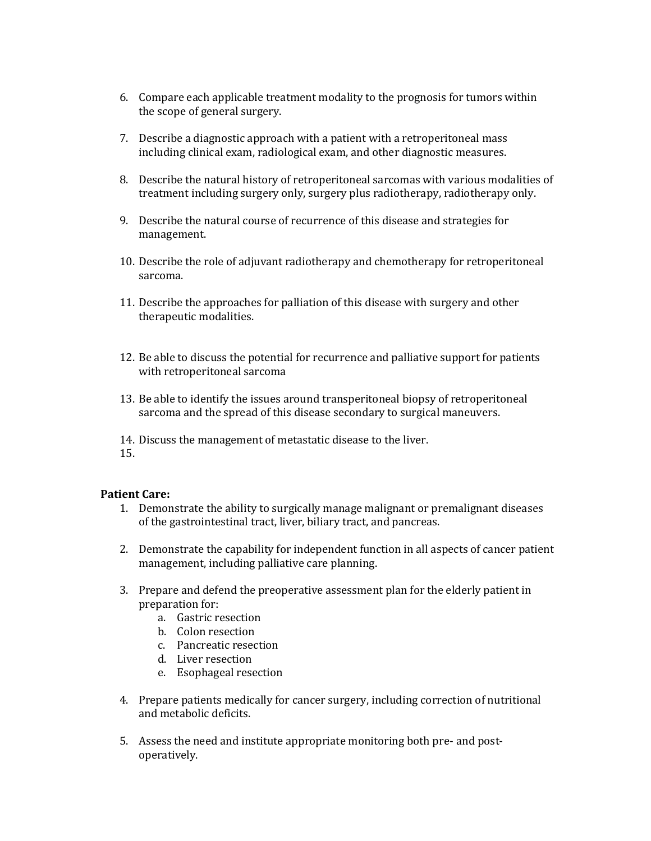- 6. Compare each applicable treatment modality to the prognosis for tumors within the scope of general surgery.
- 7. Describe a diagnostic approach with a patient with a retroperitoneal mass including clinical exam, radiological exam, and other diagnostic measures.
- 8. Describe the natural history of retroperitoneal sarcomas with various modalities of treatment including surgery only, surgery plus radiotherapy, radiotherapy only.
- 9. Describe the natural course of recurrence of this disease and strategies for management.
- 10. Describe the role of adjuvant radiotherapy and chemotherapy for retroperitoneal sarcoma.
- 11. Describe the approaches for palliation of this disease with surgery and other therapeutic modalities.
- 12. Be able to discuss the potential for recurrence and palliative support for patients with retroperitoneal sarcoma
- 13. Be able to identify the issues around transperitoneal biopsy of retroperitoneal sarcoma and the spread of this disease secondary to surgical maneuvers.
- 14. Discuss the management of metastatic disease to the liver.
- 15.

- 1. Demonstrate the ability to surgically manage malignant or premalignant diseases of the gastrointestinal tract, liver, biliary tract, and pancreas.
- 2. Demonstrate the capability for independent function in all aspects of cancer patient management, including palliative care planning.
- 3. Prepare and defend the preoperative assessment plan for the elderly patient in preparation for:
	- a. Gastric resection
	- b. Colon resection
	- c. Pancreatic resection
	- d. Liver resection
	- e. Esophageal resection
- 4. Prepare patients medically for cancer surgery, including correction of nutritional and metabolic deficits.
- 5. Assess the need and institute appropriate monitoring both pre- and postoperatively.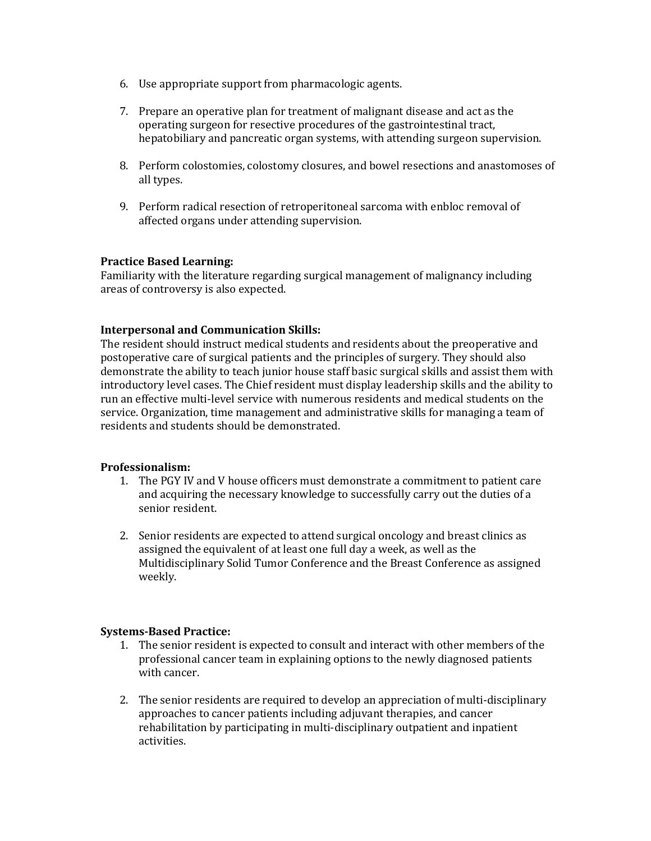- 6. Use appropriate support from pharmacologic agents.
- 7. Prepare an operative plan for treatment of malignant disease and act as the operating surgeon for resective procedures of the gastrointestinal tract, hepatobiliary and pancreatic organ systems, with attending surgeon supervision.
- 8. Perform colostomies, colostomy closures, and bowel resections and anastomoses of all types.
- 9. Perform radical resection of retroperitoneal sarcoma with enbloc removal of affected organs under attending supervision.

## **Practice Based Learning:**

Familiarity with the literature regarding surgical management of malignancy including areas of controversy is also expected.

## **Interpersonal and Communication Skills:**

The resident should instruct medical students and residents about the preoperative and postoperative care of surgical patients and the principles of surgery. They should also demonstrate the ability to teach junior house staff basic surgical skills and assist them with introductory level cases. The Chief resident must display leadership skills and the ability to run an effective multi-level service with numerous residents and medical students on the service. Organization, time management and administrative skills for managing a team of residents and students should be demonstrated.

### **Professionalism:**

- 1. The PGY IV and V house officers must demonstrate a commitment to patient care and acquiring the necessary knowledge to successfully carry out the duties of a senior resident.
- 2. Senior residents are expected to attend surgical oncology and breast clinics as assigned the equivalent of at least one full day a week, as well as the Multidisciplinary Solid Tumor Conference and the Breast Conference as assigned weekly.

### **Systems-Based Practice:**

- 1. The senior resident is expected to consult and interact with other members of the professional cancer team in explaining options to the newly diagnosed patients with cancer.
- 2. The senior residents are required to develop an appreciation of multi-disciplinary approaches to cancer patients including adjuvant therapies, and cancer rehabilitation by participating in multi-disciplinary outpatient and inpatient activities.